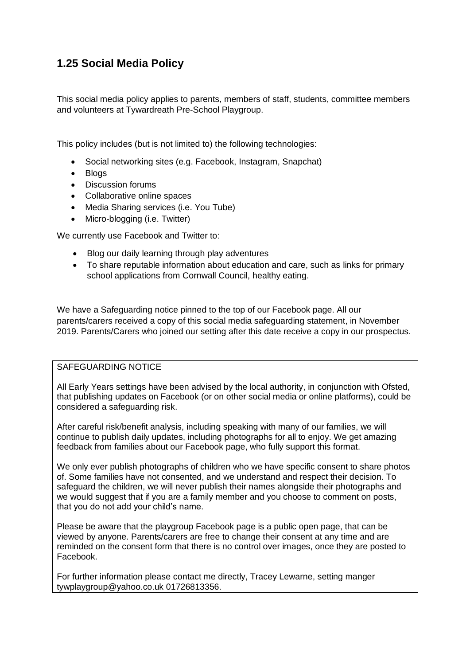# **1.25 Social Media Policy**

This social media policy applies to parents, members of staff, students, committee members and volunteers at Tywardreath Pre-School Playgroup.

This policy includes (but is not limited to) the following technologies:

- Social networking sites (e.g. Facebook, Instagram, Snapchat)
- Bloas
- Discussion forums
- Collaborative online spaces
- Media Sharing services (i.e. You Tube)
- Micro-blogging (i.e. Twitter)

We currently use Facebook and Twitter to:

- Blog our daily learning through play adventures
- To share reputable information about education and care, such as links for primary school applications from Cornwall Council, healthy eating.

We have a Safeguarding notice pinned to the top of our Facebook page. All our parents/carers received a copy of this social media safeguarding statement, in November 2019. Parents/Carers who joined our setting after this date receive a copy in our prospectus.

## SAFEGUARDING NOTICE

All Early Years settings have been advised by the local authority, in conjunction with Ofsted, that publishing updates on Facebook (or on other social media or online platforms), could be considered a safeguarding risk.

After careful risk/benefit analysis, including speaking with many of our families, we will continue to publish daily updates, including photographs for all to enjoy. We get amazing feedback from families about our Facebook page, who fully support this format.

We only ever publish photographs of children who we have specific consent to share photos of. Some families have not consented, and we understand and respect their decision. To safeguard the children, we will never publish their names alongside their photographs and we would suggest that if you are a family member and you choose to comment on posts, that you do not add your child's name.

Please be aware that the playgroup Facebook page is a public open page, that can be viewed by anyone. Parents/carers are free to change their consent at any time and are reminded on the consent form that there is no control over images, once they are posted to Facebook.

For further information please contact me directly, Tracey Lewarne, setting manger tywplaygroup@yahoo.co.uk 01726813356.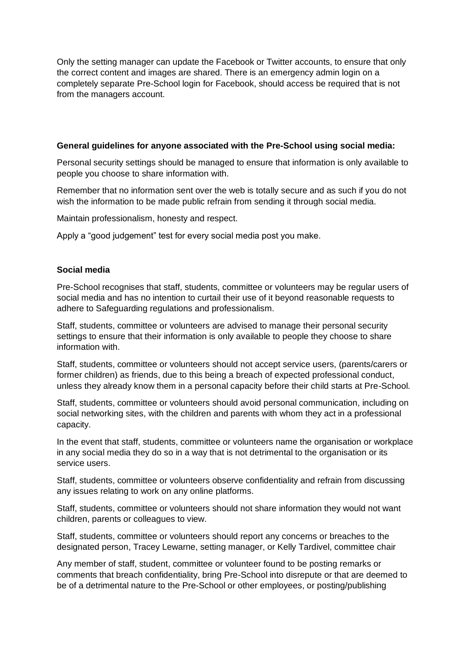Only the setting manager can update the Facebook or Twitter accounts, to ensure that only the correct content and images are shared. There is an emergency admin login on a completely separate Pre-School login for Facebook, should access be required that is not from the managers account.

### **General guidelines for anyone associated with the Pre-School using social media:**

Personal security settings should be managed to ensure that information is only available to people you choose to share information with.

Remember that no information sent over the web is totally secure and as such if you do not wish the information to be made public refrain from sending it through social media.

Maintain professionalism, honesty and respect.

Apply a "good judgement" test for every social media post you make.

### **Social media**

Pre-School recognises that staff, students, committee or volunteers may be regular users of social media and has no intention to curtail their use of it beyond reasonable requests to adhere to Safeguarding regulations and professionalism.

Staff, students, committee or volunteers are advised to manage their personal security settings to ensure that their information is only available to people they choose to share information with.

Staff, students, committee or volunteers should not accept service users, (parents/carers or former children) as friends, due to this being a breach of expected professional conduct, unless they already know them in a personal capacity before their child starts at Pre-School.

Staff, students, committee or volunteers should avoid personal communication, including on social networking sites, with the children and parents with whom they act in a professional capacity.

In the event that staff, students, committee or volunteers name the organisation or workplace in any social media they do so in a way that is not detrimental to the organisation or its service users.

Staff, students, committee or volunteers observe confidentiality and refrain from discussing any issues relating to work on any online platforms.

Staff, students, committee or volunteers should not share information they would not want children, parents or colleagues to view.

Staff, students, committee or volunteers should report any concerns or breaches to the designated person, Tracey Lewarne, setting manager, or Kelly Tardivel, committee chair

Any member of staff, student, committee or volunteer found to be posting remarks or comments that breach confidentiality, bring Pre-School into disrepute or that are deemed to be of a detrimental nature to the Pre-School or other employees, or posting/publishing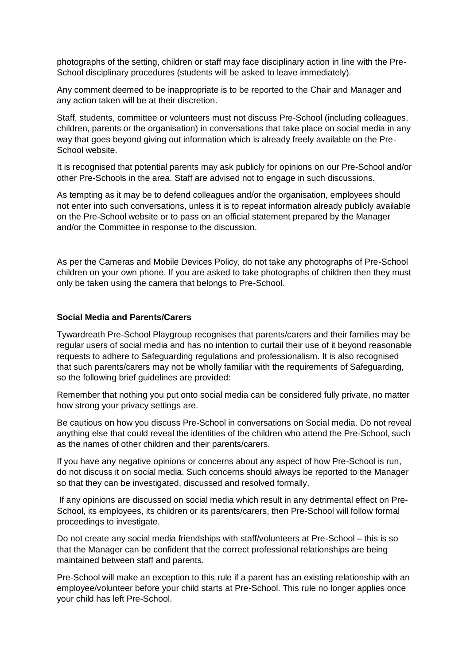photographs of the setting, children or staff may face disciplinary action in line with the Pre-School disciplinary procedures (students will be asked to leave immediately).

Any comment deemed to be inappropriate is to be reported to the Chair and Manager and any action taken will be at their discretion.

Staff, students, committee or volunteers must not discuss Pre-School (including colleagues, children, parents or the organisation) in conversations that take place on social media in any way that goes beyond giving out information which is already freely available on the Pre-School website.

It is recognised that potential parents may ask publicly for opinions on our Pre-School and/or other Pre-Schools in the area. Staff are advised not to engage in such discussions.

As tempting as it may be to defend colleagues and/or the organisation, employees should not enter into such conversations, unless it is to repeat information already publicly available on the Pre-School website or to pass on an official statement prepared by the Manager and/or the Committee in response to the discussion.

As per the Cameras and Mobile Devices Policy, do not take any photographs of Pre-School children on your own phone. If you are asked to take photographs of children then they must only be taken using the camera that belongs to Pre-School.

#### **Social Media and Parents/Carers**

Tywardreath Pre-School Playgroup recognises that parents/carers and their families may be regular users of social media and has no intention to curtail their use of it beyond reasonable requests to adhere to Safeguarding regulations and professionalism. It is also recognised that such parents/carers may not be wholly familiar with the requirements of Safeguarding, so the following brief guidelines are provided:

Remember that nothing you put onto social media can be considered fully private, no matter how strong your privacy settings are.

Be cautious on how you discuss Pre-School in conversations on Social media. Do not reveal anything else that could reveal the identities of the children who attend the Pre-School, such as the names of other children and their parents/carers.

If you have any negative opinions or concerns about any aspect of how Pre-School is run, do not discuss it on social media. Such concerns should always be reported to the Manager so that they can be investigated, discussed and resolved formally.

If any opinions are discussed on social media which result in any detrimental effect on Pre-School, its employees, its children or its parents/carers, then Pre-School will follow formal proceedings to investigate.

Do not create any social media friendships with staff/volunteers at Pre-School – this is so that the Manager can be confident that the correct professional relationships are being maintained between staff and parents.

Pre-School will make an exception to this rule if a parent has an existing relationship with an employee/volunteer before your child starts at Pre-School. This rule no longer applies once your child has left Pre-School.